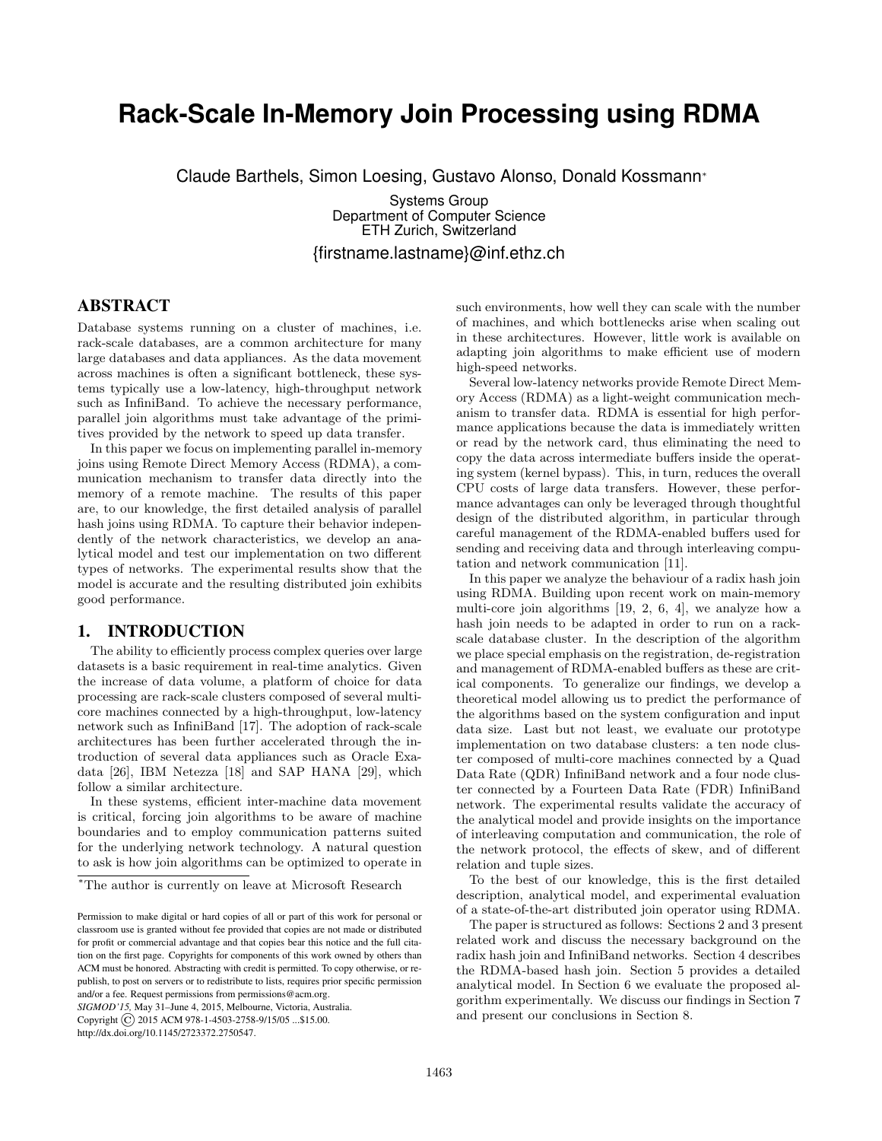# **Rack-Scale In-Memory Join Processing using RDMA**

Claude Barthels, Simon Loesing, Gustavo Alonso, Donald Kossmann<sup>∗</sup>

Systems Group Department of Computer Science ETH Zurich, Switzerland {firstname.lastname}@inf.ethz.ch

# ABSTRACT

Database systems running on a cluster of machines, i.e. rack-scale databases, are a common architecture for many large databases and data appliances. As the data movement across machines is often a significant bottleneck, these systems typically use a low-latency, high-throughput network such as InfiniBand. To achieve the necessary performance, parallel join algorithms must take advantage of the primitives provided by the network to speed up data transfer.

In this paper we focus on implementing parallel in-memory joins using Remote Direct Memory Access (RDMA), a communication mechanism to transfer data directly into the memory of a remote machine. The results of this paper are, to our knowledge, the first detailed analysis of parallel hash joins using RDMA. To capture their behavior independently of the network characteristics, we develop an analytical model and test our implementation on two different types of networks. The experimental results show that the model is accurate and the resulting distributed join exhibits good performance.

## 1. INTRODUCTION

The ability to efficiently process complex queries over large datasets is a basic requirement in real-time analytics. Given the increase of data volume, a platform of choice for data processing are rack-scale clusters composed of several multicore machines connected by a high-throughput, low-latency network such as InfiniBand [17]. The adoption of rack-scale architectures has been further accelerated through the introduction of several data appliances such as Oracle Exadata [26], IBM Netezza [18] and SAP HANA [29], which follow a similar architecture.

In these systems, efficient inter-machine data movement is critical, forcing join algorithms to be aware of machine boundaries and to employ communication patterns suited for the underlying network technology. A natural question to ask is how join algorithms can be optimized to operate in

*SIGMOD'15,* May 31–June 4, 2015, Melbourne, Victoria, Australia.

http://dx.doi.org/10.1145/2723372.2750547.

such environments, how well they can scale with the number of machines, and which bottlenecks arise when scaling out in these architectures. However, little work is available on adapting join algorithms to make efficient use of modern high-speed networks.

Several low-latency networks provide Remote Direct Memory Access (RDMA) as a light-weight communication mechanism to transfer data. RDMA is essential for high performance applications because the data is immediately written or read by the network card, thus eliminating the need to copy the data across intermediate buffers inside the operating system (kernel bypass). This, in turn, reduces the overall CPU costs of large data transfers. However, these performance advantages can only be leveraged through thoughtful design of the distributed algorithm, in particular through careful management of the RDMA-enabled buffers used for sending and receiving data and through interleaving computation and network communication [11].

In this paper we analyze the behaviour of a radix hash join using RDMA. Building upon recent work on main-memory multi-core join algorithms [19, 2, 6, 4], we analyze how a hash join needs to be adapted in order to run on a rackscale database cluster. In the description of the algorithm we place special emphasis on the registration, de-registration and management of RDMA-enabled buffers as these are critical components. To generalize our findings, we develop a theoretical model allowing us to predict the performance of the algorithms based on the system configuration and input data size. Last but not least, we evaluate our prototype implementation on two database clusters: a ten node cluster composed of multi-core machines connected by a Quad Data Rate (QDR) InfiniBand network and a four node cluster connected by a Fourteen Data Rate (FDR) InfiniBand network. The experimental results validate the accuracy of the analytical model and provide insights on the importance of interleaving computation and communication, the role of the network protocol, the effects of skew, and of different relation and tuple sizes.

To the best of our knowledge, this is the first detailed description, analytical model, and experimental evaluation of a state-of-the-art distributed join operator using RDMA.

The paper is structured as follows: Sections 2 and 3 present related work and discuss the necessary background on the radix hash join and InfiniBand networks. Section 4 describes the RDMA-based hash join. Section 5 provides a detailed analytical model. In Section 6 we evaluate the proposed algorithm experimentally. We discuss our findings in Section 7 and present our conclusions in Section 8.

<sup>∗</sup>The author is currently on leave at Microsoft Research

Permission to make digital or hard copies of all or part of this work for personal or classroom use is granted without fee provided that copies are not made or distributed for profit or commercial advantage and that copies bear this notice and the full citation on the first page. Copyrights for components of this work owned by others than ACM must be honored. Abstracting with credit is permitted. To copy otherwise, or republish, to post on servers or to redistribute to lists, requires prior specific permission and/or a fee. Request permissions from permissions@acm.org.

Copyright  $\overline{C}$ ) 2015 ACM 978-1-4503-2758-9/15/05 ...\$15.00.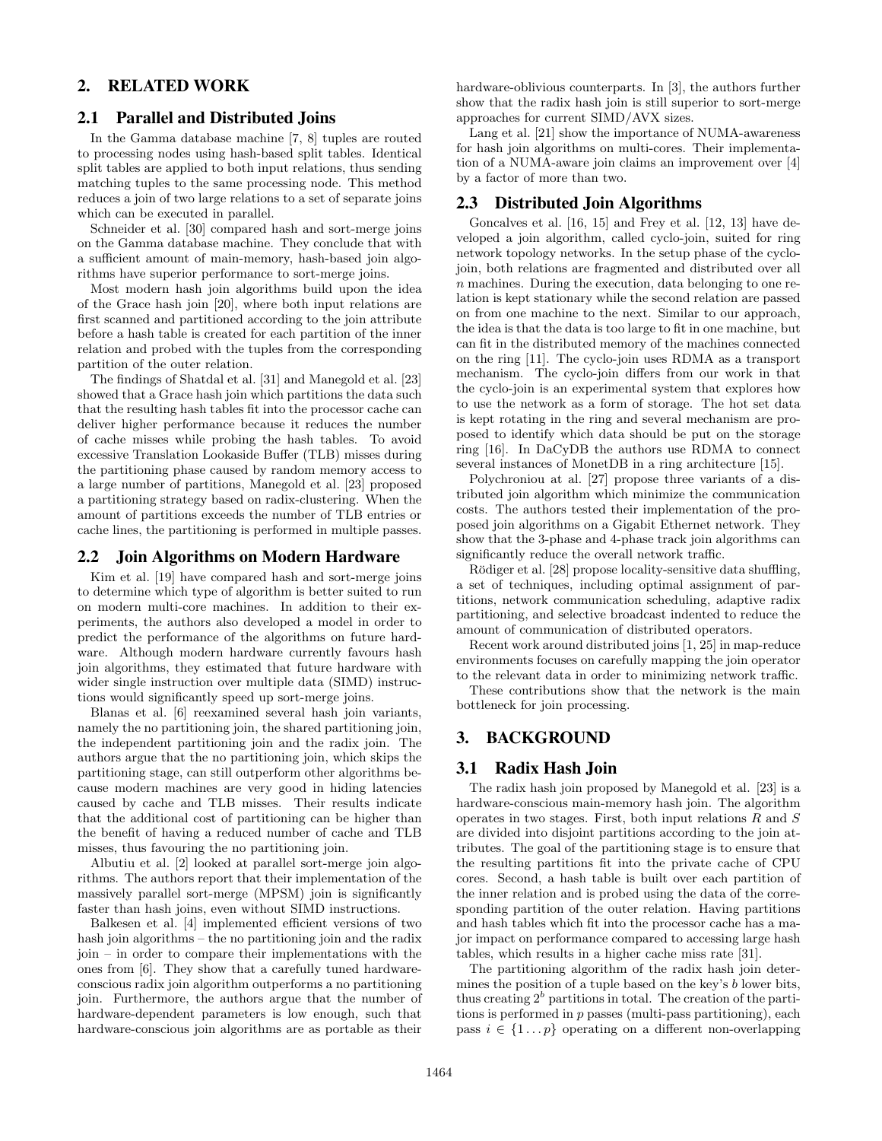# 2. RELATED WORK

## 2.1 Parallel and Distributed Joins

In the Gamma database machine [7, 8] tuples are routed to processing nodes using hash-based split tables. Identical split tables are applied to both input relations, thus sending matching tuples to the same processing node. This method reduces a join of two large relations to a set of separate joins which can be executed in parallel.

Schneider et al. [30] compared hash and sort-merge joins on the Gamma database machine. They conclude that with a sufficient amount of main-memory, hash-based join algorithms have superior performance to sort-merge joins.

Most modern hash join algorithms build upon the idea of the Grace hash join [20], where both input relations are first scanned and partitioned according to the join attribute before a hash table is created for each partition of the inner relation and probed with the tuples from the corresponding partition of the outer relation.

The findings of Shatdal et al. [31] and Manegold et al. [23] showed that a Grace hash join which partitions the data such that the resulting hash tables fit into the processor cache can deliver higher performance because it reduces the number of cache misses while probing the hash tables. To avoid excessive Translation Lookaside Buffer (TLB) misses during the partitioning phase caused by random memory access to a large number of partitions, Manegold et al. [23] proposed a partitioning strategy based on radix-clustering. When the amount of partitions exceeds the number of TLB entries or cache lines, the partitioning is performed in multiple passes.

#### 2.2 Join Algorithms on Modern Hardware

Kim et al. [19] have compared hash and sort-merge joins to determine which type of algorithm is better suited to run on modern multi-core machines. In addition to their experiments, the authors also developed a model in order to predict the performance of the algorithms on future hardware. Although modern hardware currently favours hash join algorithms, they estimated that future hardware with wider single instruction over multiple data (SIMD) instructions would significantly speed up sort-merge joins.

Blanas et al. [6] reexamined several hash join variants, namely the no partitioning join, the shared partitioning join, the independent partitioning join and the radix join. The authors argue that the no partitioning join, which skips the partitioning stage, can still outperform other algorithms because modern machines are very good in hiding latencies caused by cache and TLB misses. Their results indicate that the additional cost of partitioning can be higher than the benefit of having a reduced number of cache and TLB misses, thus favouring the no partitioning join.

Albutiu et al. [2] looked at parallel sort-merge join algorithms. The authors report that their implementation of the massively parallel sort-merge (MPSM) join is significantly faster than hash joins, even without SIMD instructions.

Balkesen et al. [4] implemented efficient versions of two hash join algorithms – the no partitioning join and the radix join – in order to compare their implementations with the ones from [6]. They show that a carefully tuned hardwareconscious radix join algorithm outperforms a no partitioning join. Furthermore, the authors argue that the number of hardware-dependent parameters is low enough, such that hardware-conscious join algorithms are as portable as their hardware-oblivious counterparts. In [3], the authors further show that the radix hash join is still superior to sort-merge approaches for current SIMD/AVX sizes.

Lang et al. [21] show the importance of NUMA-awareness for hash join algorithms on multi-cores. Their implementation of a NUMA-aware join claims an improvement over [4] by a factor of more than two.

## 2.3 Distributed Join Algorithms

Goncalves et al. [16, 15] and Frey et al. [12, 13] have developed a join algorithm, called cyclo-join, suited for ring network topology networks. In the setup phase of the cyclojoin, both relations are fragmented and distributed over all  $n$  machines. During the execution, data belonging to one relation is kept stationary while the second relation are passed on from one machine to the next. Similar to our approach, the idea is that the data is too large to fit in one machine, but can fit in the distributed memory of the machines connected on the ring [11]. The cyclo-join uses RDMA as a transport mechanism. The cyclo-join differs from our work in that the cyclo-join is an experimental system that explores how to use the network as a form of storage. The hot set data is kept rotating in the ring and several mechanism are proposed to identify which data should be put on the storage ring [16]. In DaCyDB the authors use RDMA to connect several instances of MonetDB in a ring architecture [15].

Polychroniou at al. [27] propose three variants of a distributed join algorithm which minimize the communication costs. The authors tested their implementation of the proposed join algorithms on a Gigabit Ethernet network. They show that the 3-phase and 4-phase track join algorithms can significantly reduce the overall network traffic.

Rödiger et al. [28] propose locality-sensitive data shuffling, a set of techniques, including optimal assignment of partitions, network communication scheduling, adaptive radix partitioning, and selective broadcast indented to reduce the amount of communication of distributed operators.

Recent work around distributed joins [1, 25] in map-reduce environments focuses on carefully mapping the join operator to the relevant data in order to minimizing network traffic.

These contributions show that the network is the main bottleneck for join processing.

# 3. BACKGROUND

## 3.1 Radix Hash Join

The radix hash join proposed by Manegold et al. [23] is a hardware-conscious main-memory hash join. The algorithm operates in two stages. First, both input relations R and S are divided into disjoint partitions according to the join attributes. The goal of the partitioning stage is to ensure that the resulting partitions fit into the private cache of CPU cores. Second, a hash table is built over each partition of the inner relation and is probed using the data of the corresponding partition of the outer relation. Having partitions and hash tables which fit into the processor cache has a major impact on performance compared to accessing large hash tables, which results in a higher cache miss rate [31].

The partitioning algorithm of the radix hash join determines the position of a tuple based on the key's b lower bits, thus creating  $2<sup>b</sup>$  partitions in total. The creation of the partitions is performed in p passes (multi-pass partitioning), each pass  $i \in \{1 \dots p\}$  operating on a different non-overlapping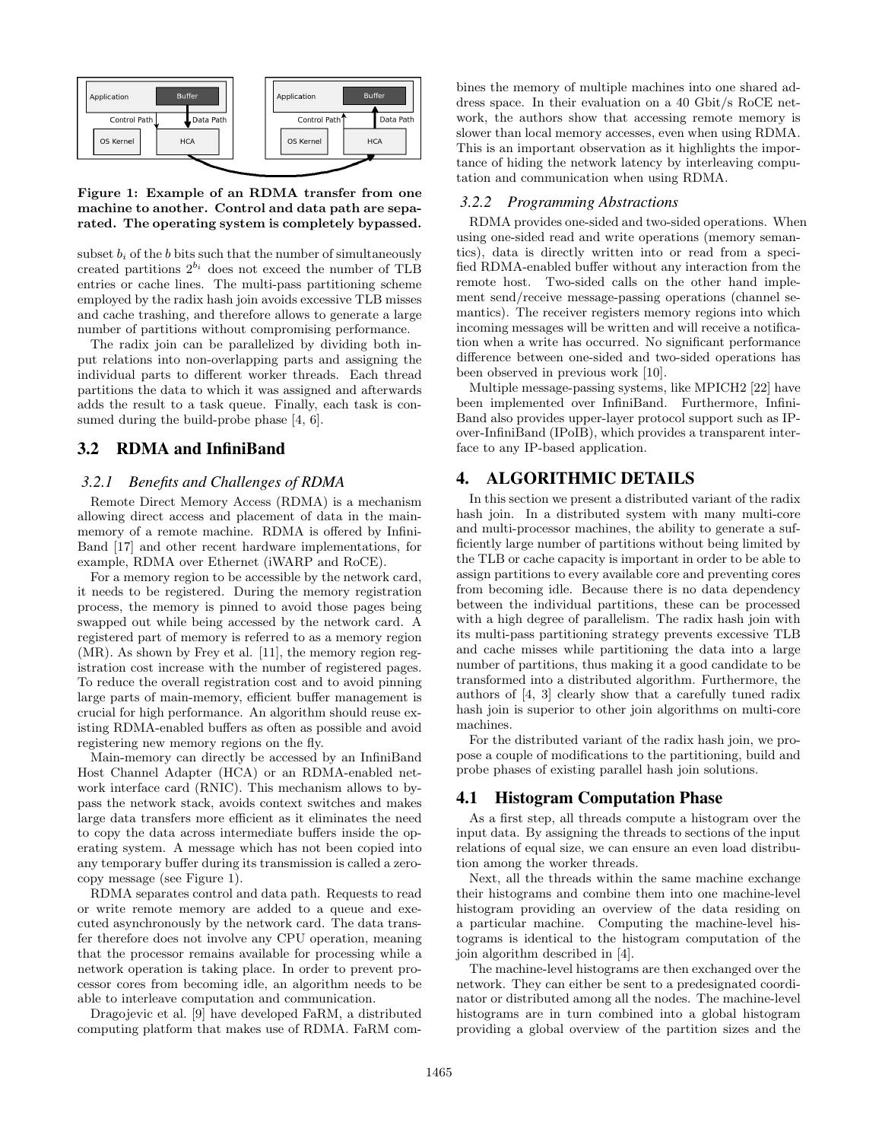

Figure 1: Example of an RDMA transfer from one machine to another. Control and data path are separated. The operating system is completely bypassed.

subset  $b_i$  of the b bits such that the number of simultaneously created partitions  $2^{b_i}$  does not exceed the number of TLB entries or cache lines. The multi-pass partitioning scheme employed by the radix hash join avoids excessive TLB misses and cache trashing, and therefore allows to generate a large number of partitions without compromising performance.

The radix join can be parallelized by dividing both input relations into non-overlapping parts and assigning the individual parts to different worker threads. Each thread partitions the data to which it was assigned and afterwards adds the result to a task queue. Finally, each task is consumed during the build-probe phase [4, 6].

## 3.2 RDMA and InfiniBand

#### *3.2.1 Benefits and Challenges of RDMA*

Remote Direct Memory Access (RDMA) is a mechanism allowing direct access and placement of data in the mainmemory of a remote machine. RDMA is offered by Infini-Band [17] and other recent hardware implementations, for example, RDMA over Ethernet (iWARP and RoCE).

For a memory region to be accessible by the network card, it needs to be registered. During the memory registration process, the memory is pinned to avoid those pages being swapped out while being accessed by the network card. A registered part of memory is referred to as a memory region (MR). As shown by Frey et al. [11], the memory region registration cost increase with the number of registered pages. To reduce the overall registration cost and to avoid pinning large parts of main-memory, efficient buffer management is crucial for high performance. An algorithm should reuse existing RDMA-enabled buffers as often as possible and avoid registering new memory regions on the fly.

Main-memory can directly be accessed by an InfiniBand Host Channel Adapter (HCA) or an RDMA-enabled network interface card (RNIC). This mechanism allows to bypass the network stack, avoids context switches and makes large data transfers more efficient as it eliminates the need to copy the data across intermediate buffers inside the operating system. A message which has not been copied into any temporary buffer during its transmission is called a zerocopy message (see Figure 1).

RDMA separates control and data path. Requests to read or write remote memory are added to a queue and executed asynchronously by the network card. The data transfer therefore does not involve any CPU operation, meaning that the processor remains available for processing while a network operation is taking place. In order to prevent processor cores from becoming idle, an algorithm needs to be able to interleave computation and communication.

Dragojevic et al. [9] have developed FaRM, a distributed computing platform that makes use of RDMA. FaRM combines the memory of multiple machines into one shared address space. In their evaluation on a 40 Gbit/s RoCE network, the authors show that accessing remote memory is slower than local memory accesses, even when using RDMA. This is an important observation as it highlights the importance of hiding the network latency by interleaving computation and communication when using RDMA.

#### *3.2.2 Programming Abstractions*

RDMA provides one-sided and two-sided operations. When using one-sided read and write operations (memory semantics), data is directly written into or read from a specified RDMA-enabled buffer without any interaction from the remote host. Two-sided calls on the other hand implement send/receive message-passing operations (channel semantics). The receiver registers memory regions into which incoming messages will be written and will receive a notification when a write has occurred. No significant performance difference between one-sided and two-sided operations has been observed in previous work [10].

Multiple message-passing systems, like MPICH2 [22] have been implemented over InfiniBand. Furthermore, Infini-Band also provides upper-layer protocol support such as IPover-InfiniBand (IPoIB), which provides a transparent interface to any IP-based application.

# 4. ALGORITHMIC DETAILS

In this section we present a distributed variant of the radix hash join. In a distributed system with many multi-core and multi-processor machines, the ability to generate a sufficiently large number of partitions without being limited by the TLB or cache capacity is important in order to be able to assign partitions to every available core and preventing cores from becoming idle. Because there is no data dependency between the individual partitions, these can be processed with a high degree of parallelism. The radix hash join with its multi-pass partitioning strategy prevents excessive TLB and cache misses while partitioning the data into a large number of partitions, thus making it a good candidate to be transformed into a distributed algorithm. Furthermore, the authors of [4, 3] clearly show that a carefully tuned radix hash join is superior to other join algorithms on multi-core machines.

For the distributed variant of the radix hash join, we propose a couple of modifications to the partitioning, build and probe phases of existing parallel hash join solutions.

## 4.1 Histogram Computation Phase

As a first step, all threads compute a histogram over the input data. By assigning the threads to sections of the input relations of equal size, we can ensure an even load distribution among the worker threads.

Next, all the threads within the same machine exchange their histograms and combine them into one machine-level histogram providing an overview of the data residing on a particular machine. Computing the machine-level histograms is identical to the histogram computation of the join algorithm described in [4].

The machine-level histograms are then exchanged over the network. They can either be sent to a predesignated coordinator or distributed among all the nodes. The machine-level histograms are in turn combined into a global histogram providing a global overview of the partition sizes and the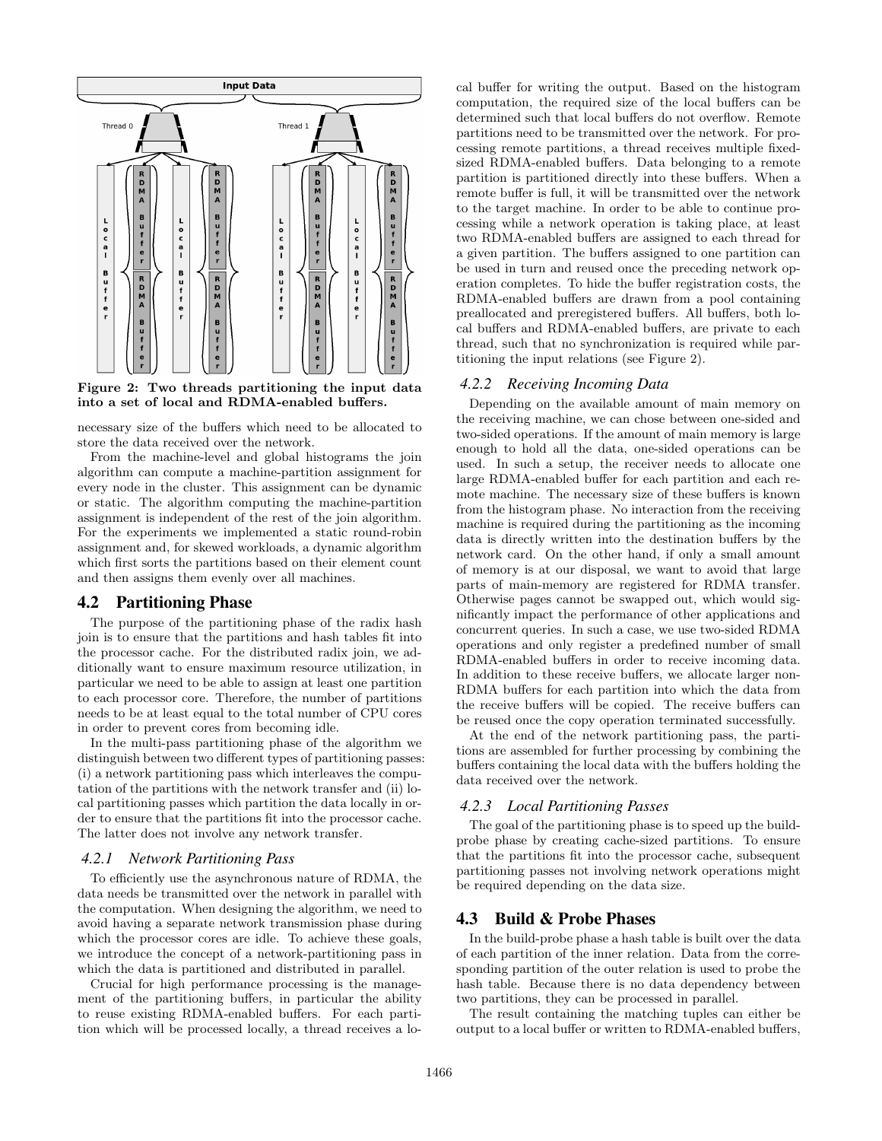

Figure 2: Two threads partitioning the input data into a set of local and RDMA-enabled buffers.

necessary size of the buffers which need to be allocated to store the data received over the network.

From the machine-level and global histograms the join algorithm can compute a machine-partition assignment for every node in the cluster. This assignment can be dynamic or static. The algorithm computing the machine-partition assignment is independent of the rest of the join algorithm. For the experiments we implemented a static round-robin assignment and, for skewed workloads, a dynamic algorithm which first sorts the partitions based on their element count and then assigns them evenly over all machines.

#### 4.2 Partitioning Phase

The purpose of the partitioning phase of the radix hash join is to ensure that the partitions and hash tables fit into the processor cache. For the distributed radix join, we additionally want to ensure maximum resource utilization, in particular we need to be able to assign at least one partition to each processor core. Therefore, the number of partitions needs to be at least equal to the total number of CPU cores in order to prevent cores from becoming idle.

In the multi-pass partitioning phase of the algorithm we distinguish between two different types of partitioning passes: (i) a network partitioning pass which interleaves the computation of the partitions with the network transfer and (ii) local partitioning passes which partition the data locally in order to ensure that the partitions fit into the processor cache. The latter does not involve any network transfer.

#### *4.2.1 Network Partitioning Pass*

To efficiently use the asynchronous nature of RDMA, the data needs be transmitted over the network in parallel with the computation. When designing the algorithm, we need to avoid having a separate network transmission phase during which the processor cores are idle. To achieve these goals, we introduce the concept of a network-partitioning pass in which the data is partitioned and distributed in parallel.

Crucial for high performance processing is the management of the partitioning buffers, in particular the ability to reuse existing RDMA-enabled buffers. For each partition which will be processed locally, a thread receives a local buffer for writing the output. Based on the histogram computation, the required size of the local buffers can be determined such that local buffers do not overflow. Remote partitions need to be transmitted over the network. For processing remote partitions, a thread receives multiple fixedsized RDMA-enabled buffers. Data belonging to a remote partition is partitioned directly into these buffers. When a remote buffer is full, it will be transmitted over the network to the target machine. In order to be able to continue processing while a network operation is taking place, at least two RDMA-enabled buffers are assigned to each thread for a given partition. The buffers assigned to one partition can be used in turn and reused once the preceding network operation completes. To hide the buffer registration costs, the RDMA-enabled buffers are drawn from a pool containing preallocated and preregistered buffers. All buffers, both local buffers and RDMA-enabled buffers, are private to each thread, such that no synchronization is required while partitioning the input relations (see Figure 2).

## *4.2.2 Receiving Incoming Data*

Depending on the available amount of main memory on the receiving machine, we can chose between one-sided and two-sided operations. If the amount of main memory is large enough to hold all the data, one-sided operations can be used. In such a setup, the receiver needs to allocate one large RDMA-enabled buffer for each partition and each remote machine. The necessary size of these buffers is known from the histogram phase. No interaction from the receiving machine is required during the partitioning as the incoming data is directly written into the destination buffers by the network card. On the other hand, if only a small amount of memory is at our disposal, we want to avoid that large parts of main-memory are registered for RDMA transfer. Otherwise pages cannot be swapped out, which would significantly impact the performance of other applications and concurrent queries. In such a case, we use two-sided RDMA operations and only register a predefined number of small RDMA-enabled buffers in order to receive incoming data. In addition to these receive buffers, we allocate larger non-RDMA buffers for each partition into which the data from the receive buffers will be copied. The receive buffers can be reused once the copy operation terminated successfully.

At the end of the network partitioning pass, the partitions are assembled for further processing by combining the buffers containing the local data with the buffers holding the data received over the network.

#### *4.2.3 Local Partitioning Passes*

The goal of the partitioning phase is to speed up the buildprobe phase by creating cache-sized partitions. To ensure that the partitions fit into the processor cache, subsequent partitioning passes not involving network operations might be required depending on the data size.

## 4.3 Build & Probe Phases

In the build-probe phase a hash table is built over the data of each partition of the inner relation. Data from the corresponding partition of the outer relation is used to probe the hash table. Because there is no data dependency between two partitions, they can be processed in parallel.

The result containing the matching tuples can either be output to a local buffer or written to RDMA-enabled buffers,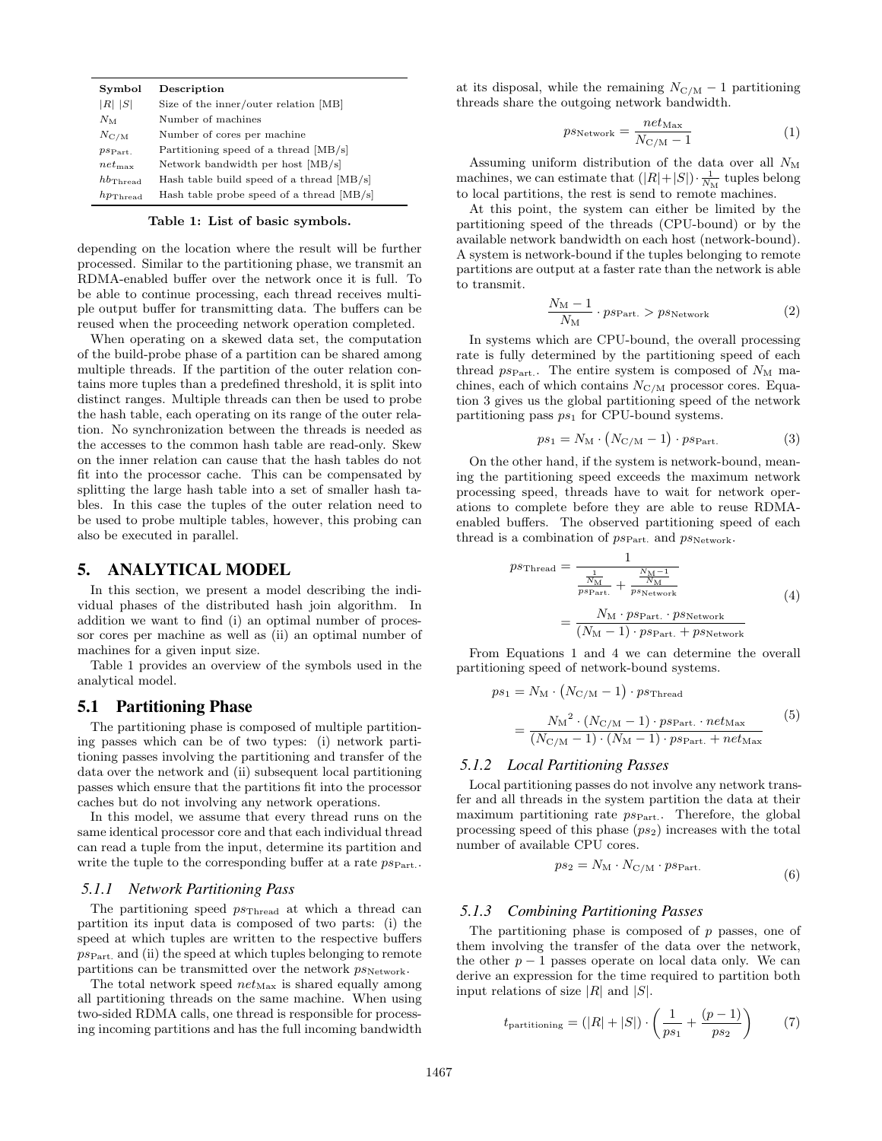| Symbol                    | Description                                 |  |  |
|---------------------------|---------------------------------------------|--|--|
| R S                       | Size of the inner/outer relation [MB]       |  |  |
| $N_{\rm M}$               | Number of machines                          |  |  |
| $N_{\rm C/M}$             | Number of cores per machine                 |  |  |
| $p_{s_{\text{Part.}}}$    | Partitioning speed of a thread [MB/s]       |  |  |
| $net_{\text{max}}$        | Network bandwidth per host $[MB/s]$         |  |  |
| $h_{b}$ <sub>Thread</sub> | Hash table build speed of a thread [MB/s]   |  |  |
| $hp$ Thread               | Hash table probe speed of a thread $[MB/s]$ |  |  |

Table 1: List of basic symbols.

depending on the location where the result will be further processed. Similar to the partitioning phase, we transmit an RDMA-enabled buffer over the network once it is full. To be able to continue processing, each thread receives multiple output buffer for transmitting data. The buffers can be reused when the proceeding network operation completed.

When operating on a skewed data set, the computation of the build-probe phase of a partition can be shared among multiple threads. If the partition of the outer relation contains more tuples than a predefined threshold, it is split into distinct ranges. Multiple threads can then be used to probe the hash table, each operating on its range of the outer relation. No synchronization between the threads is needed as the accesses to the common hash table are read-only. Skew on the inner relation can cause that the hash tables do not fit into the processor cache. This can be compensated by splitting the large hash table into a set of smaller hash tables. In this case the tuples of the outer relation need to be used to probe multiple tables, however, this probing can also be executed in parallel.

## 5. ANALYTICAL MODEL

In this section, we present a model describing the individual phases of the distributed hash join algorithm. In addition we want to find (i) an optimal number of processor cores per machine as well as (ii) an optimal number of machines for a given input size.

Table 1 provides an overview of the symbols used in the analytical model.

#### 5.1 Partitioning Phase

The partitioning phase is composed of multiple partitioning passes which can be of two types: (i) network partitioning passes involving the partitioning and transfer of the data over the network and (ii) subsequent local partitioning passes which ensure that the partitions fit into the processor caches but do not involving any network operations.

In this model, we assume that every thread runs on the same identical processor core and that each individual thread can read a tuple from the input, determine its partition and write the tuple to the corresponding buffer at a rate  $ps_{Part.}$ .

#### *5.1.1 Network Partitioning Pass*

The partitioning speed  $ps_{Thread}$  at which a thread can partition its input data is composed of two parts: (i) the speed at which tuples are written to the respective buffers  $ps<sub>Part</sub>$  and (ii) the speed at which tuples belonging to remote partitions can be transmitted over the network  $ps_{\text{Network}}$ .

The total network speed  $net_{\text{Max}}$  is shared equally among all partitioning threads on the same machine. When using two-sided RDMA calls, one thread is responsible for processing incoming partitions and has the full incoming bandwidth at its disposal, while the remaining  $N_{\rm C/M} - 1$  partitioning threads share the outgoing network bandwidth.

$$
p_{SNetwork} = \frac{net_{\text{Max}}}{N_{\text{C/M}} - 1}
$$
 (1)

Assuming uniform distribution of the data over all  $N_M$ machines, we can estimate that  $(|R|+|S|) \cdot \frac{1}{N_M}$  tuples belong to local partitions, the rest is send to remote machines.

At this point, the system can either be limited by the partitioning speed of the threads (CPU-bound) or by the available network bandwidth on each host (network-bound). A system is network-bound if the tuples belonging to remote partitions are output at a faster rate than the network is able to transmit.

$$
\frac{N_{\rm M} - 1}{N_{\rm M}} \cdot p_{\rm Spart.} > p_{\rm Sketwork} \tag{2}
$$

In systems which are CPU-bound, the overall processing rate is fully determined by the partitioning speed of each thread  $ps_{Part.}$ . The entire system is composed of  $N_M$  machines, each of which contains  $N_{\rm C/M}$  processor cores. Equation 3 gives us the global partitioning speed of the network partitioning pass  $ps_1$  for CPU-bound systems.

$$
ps_1 = N_M \cdot (N_{\text{C/M}} - 1) \cdot ps_{\text{Part.}} \tag{3}
$$

On the other hand, if the system is network-bound, meaning the partitioning speed exceeds the maximum network processing speed, threads have to wait for network operations to complete before they are able to reuse RDMAenabled buffers. The observed partitioning speed of each thread is a combination of  $ps_{\text{Part}}$ . and  $ps_{\text{Network}}$ .

$$
p_{\text{SThread}} = \frac{1}{\frac{N_{\text{M}}}{p_{\text{sprat.}}} + \frac{N_{\text{M}} - 1}{p_{\text{SKtwork}}}}
$$
\n
$$
= \frac{N_{\text{M}} \cdot p_{\text{SPat.}} \cdot p_{\text{SKtwork}}}{(N_{\text{M}} - 1) \cdot p_{\text{SPat.}} + p_{\text{SKtwork}}}
$$
\n(4)

From Equations 1 and 4 we can determine the overall partitioning speed of network-bound systems.

$$
ps_1 = N_M \cdot (N_{\text{C/M}} - 1) \cdot ps_{\text{Thread}}
$$
  
= 
$$
\frac{N_M^2 \cdot (N_{\text{C/M}} - 1) \cdot ps_{\text{Part.}} \cdot net_{\text{Max}}}{(N_{\text{C/M}} - 1) \cdot (N_M - 1) \cdot ps_{\text{Part.}} + net_{\text{Max}}}
$$
(5)

#### *5.1.2 Local Partitioning Passes*

Local partitioning passes do not involve any network transfer and all threads in the system partition the data at their maximum partitioning rate  $ps<sub>Part</sub>$ . Therefore, the global processing speed of this phase  $(ps_2)$  increases with the total number of available CPU cores.

$$
ps_2 = N_{\rm M} \cdot N_{\rm C/M} \cdot ps_{\rm Part.} \tag{6}
$$

#### *5.1.3 Combining Partitioning Passes*

The partitioning phase is composed of  $p$  passes, one of them involving the transfer of the data over the network, the other  $p-1$  passes operate on local data only. We can derive an expression for the time required to partition both input relations of size  $|R|$  and  $|S|$ .

$$
t_{\text{partitioning}} = (|R| + |S|) \cdot \left(\frac{1}{ps_1} + \frac{(p-1)}{ps_2}\right) \tag{7}
$$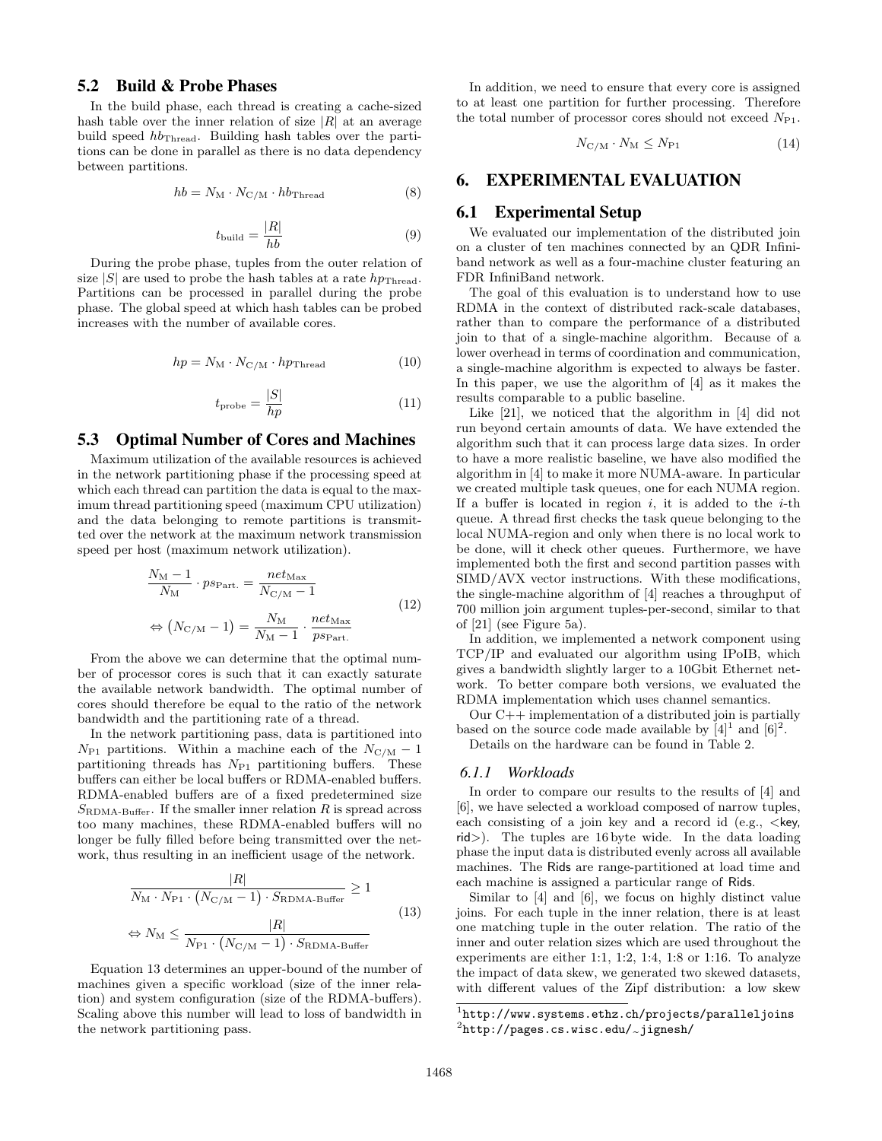## 5.2 Build & Probe Phases

In the build phase, each thread is creating a cache-sized hash table over the inner relation of size  $|R|$  at an average build speed  $hb_{\text{Thread}}$ . Building hash tables over the partitions can be done in parallel as there is no data dependency between partitions.

$$
hb = N_{\rm M} \cdot N_{\rm C/M} \cdot hb_{\rm Thread} \tag{8}
$$

$$
t_{\text{build}} = \frac{|R|}{hb} \tag{9}
$$

During the probe phase, tuples from the outer relation of size  $|S|$  are used to probe the hash tables at a rate  $hp$ <sub>Thread</sub>. Partitions can be processed in parallel during the probe phase. The global speed at which hash tables can be probed increases with the number of available cores.

$$
hp = N_{\rm M} \cdot N_{\rm C/M} \cdot hp_{\rm Thread}
$$
 (10)

$$
t_{\text{probe}} = \frac{|S|}{hp} \tag{11}
$$

## 5.3 Optimal Number of Cores and Machines

Maximum utilization of the available resources is achieved in the network partitioning phase if the processing speed at which each thread can partition the data is equal to the maximum thread partitioning speed (maximum CPU utilization) and the data belonging to remote partitions is transmitted over the network at the maximum network transmission speed per host (maximum network utilization).

$$
\frac{N_{\rm M} - 1}{N_{\rm M}} \cdot p s_{\rm Part.} = \frac{net_{\rm Max}}{N_{\rm C/M} - 1}
$$
\n
$$
\Leftrightarrow \left(N_{\rm C/M} - 1\right) = \frac{N_{\rm M}}{N_{\rm M} - 1} \cdot \frac{net_{\rm Max}}{ps_{\rm Part.}}\tag{12}
$$

From the above we can determine that the optimal number of processor cores is such that it can exactly saturate the available network bandwidth. The optimal number of cores should therefore be equal to the ratio of the network bandwidth and the partitioning rate of a thread.

In the network partitioning pass, data is partitioned into  $N_{\rm P1}$  partitions. Within a machine each of the  $N_{\rm C/M}$  – 1 partitioning threads has  $N_{P1}$  partitioning buffers. These buffers can either be local buffers or RDMA-enabled buffers. RDMA-enabled buffers are of a fixed predetermined size  $S_{\rm RDMA-Buffer}$ . If the smaller inner relation R is spread across too many machines, these RDMA-enabled buffers will no longer be fully filled before being transmitted over the network, thus resulting in an inefficient usage of the network.

$$
\frac{|R|}{N_{\rm M} \cdot N_{\rm P1} \cdot (N_{\rm C/M} - 1) \cdot S_{\rm RDMA\text{-}Buffer}} \ge 1
$$
\n
$$
\Leftrightarrow N_{\rm M} \le \frac{|R|}{N_{\rm P1} \cdot (N_{\rm C/M} - 1) \cdot S_{\rm RDMA\text{-}Buffer}}
$$
\n(13)

Equation 13 determines an upper-bound of the number of machines given a specific workload (size of the inner relation) and system configuration (size of the RDMA-buffers). Scaling above this number will lead to loss of bandwidth in the network partitioning pass.

In addition, we need to ensure that every core is assigned to at least one partition for further processing. Therefore the total number of processor cores should not exceed  $N_{P1}$ .

$$
N_{\rm C/M} \cdot N_{\rm M} \le N_{\rm P1} \tag{14}
$$

#### 6. EXPERIMENTAL EVALUATION

## 6.1 Experimental Setup

We evaluated our implementation of the distributed join on a cluster of ten machines connected by an QDR Infiniband network as well as a four-machine cluster featuring an FDR InfiniBand network.

The goal of this evaluation is to understand how to use RDMA in the context of distributed rack-scale databases, rather than to compare the performance of a distributed join to that of a single-machine algorithm. Because of a lower overhead in terms of coordination and communication, a single-machine algorithm is expected to always be faster. In this paper, we use the algorithm of [4] as it makes the results comparable to a public baseline.

Like [21], we noticed that the algorithm in [4] did not run beyond certain amounts of data. We have extended the algorithm such that it can process large data sizes. In order to have a more realistic baseline, we have also modified the algorithm in [4] to make it more NUMA-aware. In particular we created multiple task queues, one for each NUMA region. If a buffer is located in region  $i$ , it is added to the  $i$ -th queue. A thread first checks the task queue belonging to the local NUMA-region and only when there is no local work to be done, will it check other queues. Furthermore, we have implemented both the first and second partition passes with SIMD/AVX vector instructions. With these modifications, the single-machine algorithm of [4] reaches a throughput of 700 million join argument tuples-per-second, similar to that of [21] (see Figure 5a).

In addition, we implemented a network component using TCP/IP and evaluated our algorithm using IPoIB, which gives a bandwidth slightly larger to a 10Gbit Ethernet network. To better compare both versions, we evaluated the RDMA implementation which uses channel semantics.

Our C++ implementation of a distributed join is partially based on the source code made available by  $[4]^{1}$  and  $[6]^{2}$ .

Details on the hardware can be found in Table 2.

#### *6.1.1 Workloads*

In order to compare our results to the results of [4] and [6], we have selected a workload composed of narrow tuples, each consisting of a join key and a record id (e.g.,  $\langle$ key, rid>). The tuples are 16 byte wide. In the data loading phase the input data is distributed evenly across all available machines. The Rids are range-partitioned at load time and each machine is assigned a particular range of Rids.

Similar to [4] and [6], we focus on highly distinct value joins. For each tuple in the inner relation, there is at least one matching tuple in the outer relation. The ratio of the inner and outer relation sizes which are used throughout the experiments are either 1:1, 1:2, 1:4, 1:8 or 1:16. To analyze the impact of data skew, we generated two skewed datasets, with different values of the Zipf distribution: a low skew

 $^1$ http://www.systems.ethz.ch/projects/paralleljoins  $^{2}$ http://pages.cs.wisc.edu/ $_{\sim}$ jignesh/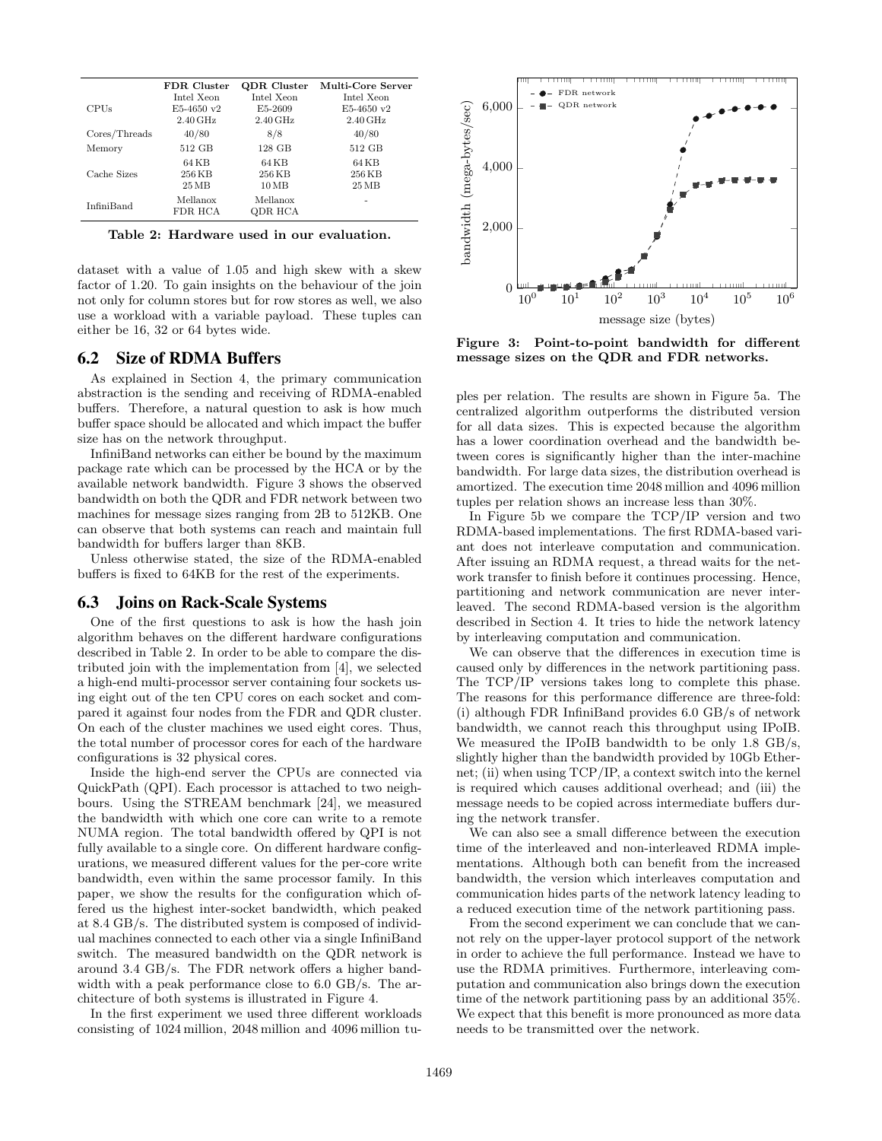| CPUs          | <b>FDR.</b> Cluster<br>Intel Xeon<br>E5-4650 v2<br>$2.40\,\mathrm{GHz}$ | QDR Cluster<br>Intel Xeon<br>E5-2609<br>$2.40\,\mathrm{GHz}$ | Multi-Core Server<br>Intel Xeon<br>E5-4650 v2<br>$2.40\,\mathrm{GHz}$ |
|---------------|-------------------------------------------------------------------------|--------------------------------------------------------------|-----------------------------------------------------------------------|
| Cores/Threads | 40/80                                                                   | 8/8                                                          | 40/80                                                                 |
| Memory        | 512 GB                                                                  | 128 GB                                                       | 512 GB                                                                |
| Cache Sizes   | 64 KB<br>256 KB<br>$25\,\mathrm{MB}$                                    | 64 KB<br>256 KB<br>$10\,\mathrm{MB}$                         | 64 KB<br>256 KB<br>$25\,\mathrm{MB}$                                  |
| InfiniBand    | Mellanox<br>FDR HCA                                                     | Mellanox<br>QDR HCA                                          | ۰                                                                     |

Table 2: Hardware used in our evaluation.

dataset with a value of 1.05 and high skew with a skew factor of 1.20. To gain insights on the behaviour of the join not only for column stores but for row stores as well, we also use a workload with a variable payload. These tuples can either be 16, 32 or 64 bytes wide.

## 6.2 Size of RDMA Buffers

As explained in Section 4, the primary communication abstraction is the sending and receiving of RDMA-enabled buffers. Therefore, a natural question to ask is how much buffer space should be allocated and which impact the buffer size has on the network throughput.

InfiniBand networks can either be bound by the maximum package rate which can be processed by the HCA or by the available network bandwidth. Figure 3 shows the observed bandwidth on both the QDR and FDR network between two machines for message sizes ranging from 2B to 512KB. One can observe that both systems can reach and maintain full bandwidth for buffers larger than 8KB.

Unless otherwise stated, the size of the RDMA-enabled buffers is fixed to 64KB for the rest of the experiments.

#### 6.3 Joins on Rack-Scale Systems

One of the first questions to ask is how the hash join algorithm behaves on the different hardware configurations described in Table 2. In order to be able to compare the distributed join with the implementation from [4], we selected a high-end multi-processor server containing four sockets using eight out of the ten CPU cores on each socket and compared it against four nodes from the FDR and QDR cluster. On each of the cluster machines we used eight cores. Thus, the total number of processor cores for each of the hardware configurations is 32 physical cores.

Inside the high-end server the CPUs are connected via QuickPath (QPI). Each processor is attached to two neighbours. Using the STREAM benchmark [24], we measured the bandwidth with which one core can write to a remote NUMA region. The total bandwidth offered by QPI is not fully available to a single core. On different hardware configurations, we measured different values for the per-core write bandwidth, even within the same processor family. In this paper, we show the results for the configuration which offered us the highest inter-socket bandwidth, which peaked at 8.4 GB/s. The distributed system is composed of individual machines connected to each other via a single InfiniBand switch. The measured bandwidth on the QDR network is around 3.4 GB/s. The FDR network offers a higher bandwidth with a peak performance close to 6.0 GB/s. The architecture of both systems is illustrated in Figure 4.

In the first experiment we used three different workloads consisting of 1024 million, 2048 million and 4096 million tu-



Figure 3: Point-to-point bandwidth for different message sizes on the QDR and FDR networks.

ples per relation. The results are shown in Figure 5a. The centralized algorithm outperforms the distributed version for all data sizes. This is expected because the algorithm has a lower coordination overhead and the bandwidth between cores is significantly higher than the inter-machine bandwidth. For large data sizes, the distribution overhead is amortized. The execution time 2048 million and 4096 million tuples per relation shows an increase less than 30%.

In Figure 5b we compare the TCP/IP version and two RDMA-based implementations. The first RDMA-based variant does not interleave computation and communication. After issuing an RDMA request, a thread waits for the network transfer to finish before it continues processing. Hence, partitioning and network communication are never interleaved. The second RDMA-based version is the algorithm described in Section 4. It tries to hide the network latency by interleaving computation and communication.

We can observe that the differences in execution time is caused only by differences in the network partitioning pass. The TCP/IP versions takes long to complete this phase. The reasons for this performance difference are three-fold: (i) although FDR InfiniBand provides 6.0 GB/s of network bandwidth, we cannot reach this throughput using IPoIB. We measured the IPoIB bandwidth to be only 1.8 GB/s, slightly higher than the bandwidth provided by 10Gb Ethernet; (ii) when using TCP/IP, a context switch into the kernel is required which causes additional overhead; and (iii) the message needs to be copied across intermediate buffers during the network transfer.

We can also see a small difference between the execution time of the interleaved and non-interleaved RDMA implementations. Although both can benefit from the increased bandwidth, the version which interleaves computation and communication hides parts of the network latency leading to a reduced execution time of the network partitioning pass.

From the second experiment we can conclude that we cannot rely on the upper-layer protocol support of the network in order to achieve the full performance. Instead we have to use the RDMA primitives. Furthermore, interleaving computation and communication also brings down the execution time of the network partitioning pass by an additional 35%. We expect that this benefit is more pronounced as more data needs to be transmitted over the network.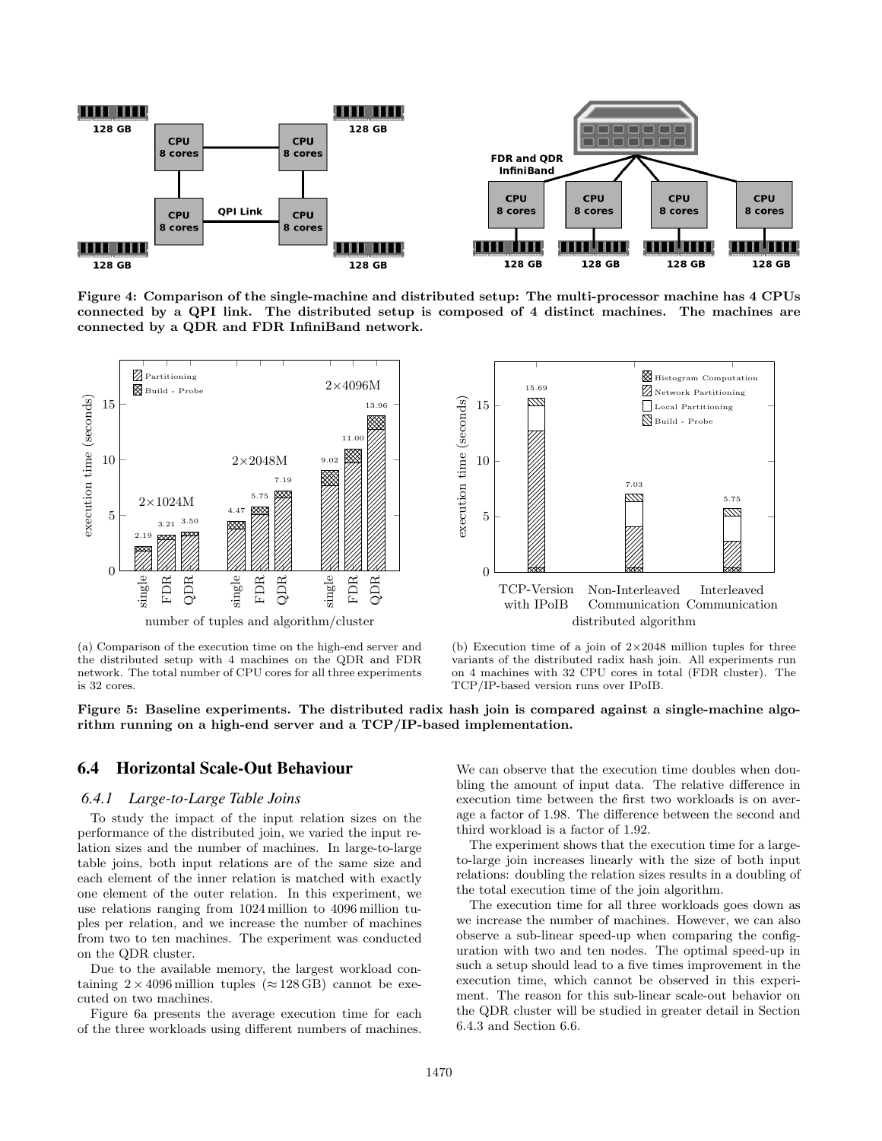

Figure 4: Comparison of the single-machine and distributed setup: The multi-processor machine has 4 CPUs connected by a QPI link. The distributed setup is composed of 4 distinct machines. The machines are connected by a QDR and FDR InfiniBand network.



(a) Comparison of the execution time on the high-end server and the distributed setup with 4 machines on the QDR and FDR network. The total number of CPU cores for all three experiments is 32 cores.



Figure 5: Baseline experiments. The distributed radix hash join is compared against a single-machine algorithm running on a high-end server and a TCP/IP-based implementation.

# 6.4 Horizontal Scale-Out Behaviour

# *6.4.1 Large-to-Large Table Joins*

To study the impact of the input relation sizes on the performance of the distributed join, we varied the input relation sizes and the number of machines. In large-to-large table joins, both input relations are of the same size and each element of the inner relation is matched with exactly one element of the outer relation. In this experiment, we use relations ranging from 1024 million to 4096 million tuples per relation, and we increase the number of machines from two to ten machines. The experiment was conducted on the QDR cluster.

Due to the available memory, the largest workload containing  $2 \times 4096$  million tuples ( $\approx 128$  GB) cannot be executed on two machines.

Figure 6a presents the average execution time for each of the three workloads using different numbers of machines.

We can observe that the execution time doubles when doubling the amount of input data. The relative difference in execution time between the first two workloads is on average a factor of 1.98. The difference between the second and third workload is a factor of 1.92.

The experiment shows that the execution time for a largeto-large join increases linearly with the size of both input relations: doubling the relation sizes results in a doubling of the total execution time of the join algorithm.

The execution time for all three workloads goes down as we increase the number of machines. However, we can also observe a sub-linear speed-up when comparing the configuration with two and ten nodes. The optimal speed-up in such a setup should lead to a five times improvement in the execution time, which cannot be observed in this experiment. The reason for this sub-linear scale-out behavior on the QDR cluster will be studied in greater detail in Section 6.4.3 and Section 6.6.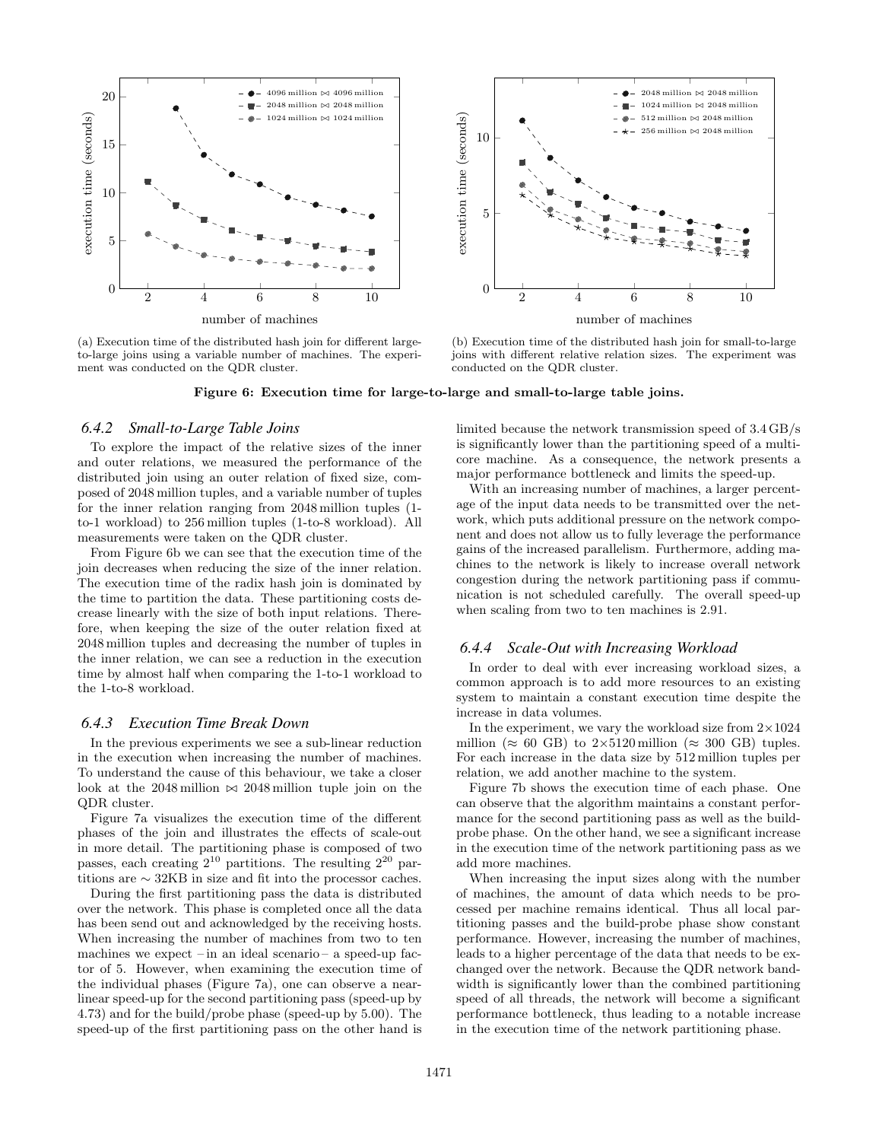

(a) Execution time of the distributed hash join for different largeto-large joins using a variable number of machines. The experiment was conducted on the QDR cluster.



(b) Execution time of the distributed hash join for small-to-large joins with different relative relation sizes. The experiment was conducted on the QDR cluster.

Figure 6: Execution time for large-to-large and small-to-large table joins.

#### *6.4.2 Small-to-Large Table Joins*

To explore the impact of the relative sizes of the inner and outer relations, we measured the performance of the distributed join using an outer relation of fixed size, composed of 2048 million tuples, and a variable number of tuples for the inner relation ranging from 2048 million tuples (1 to-1 workload) to 256 million tuples (1-to-8 workload). All measurements were taken on the QDR cluster.

From Figure 6b we can see that the execution time of the join decreases when reducing the size of the inner relation. The execution time of the radix hash join is dominated by the time to partition the data. These partitioning costs decrease linearly with the size of both input relations. Therefore, when keeping the size of the outer relation fixed at 2048 million tuples and decreasing the number of tuples in the inner relation, we can see a reduction in the execution time by almost half when comparing the 1-to-1 workload to the 1-to-8 workload.

#### *6.4.3 Execution Time Break Down*

In the previous experiments we see a sub-linear reduction in the execution when increasing the number of machines. To understand the cause of this behaviour, we take a closer look at the  $2048$  million  $\bowtie$  2048 million tuple join on the QDR cluster.

Figure 7a visualizes the execution time of the different phases of the join and illustrates the effects of scale-out in more detail. The partitioning phase is composed of two passes, each creating  $2^{10}$  partitions. The resulting  $2^{20}$  partitions are ∼ 32KB in size and fit into the processor caches.

During the first partitioning pass the data is distributed over the network. This phase is completed once all the data has been send out and acknowledged by the receiving hosts. When increasing the number of machines from two to ten machines we expect – in an ideal scenario – a speed-up factor of 5. However, when examining the execution time of the individual phases (Figure 7a), one can observe a nearlinear speed-up for the second partitioning pass (speed-up by 4.73) and for the build/probe phase (speed-up by 5.00). The speed-up of the first partitioning pass on the other hand is

limited because the network transmission speed of 3.4 GB/s is significantly lower than the partitioning speed of a multicore machine. As a consequence, the network presents a major performance bottleneck and limits the speed-up.

With an increasing number of machines, a larger percentage of the input data needs to be transmitted over the network, which puts additional pressure on the network component and does not allow us to fully leverage the performance gains of the increased parallelism. Furthermore, adding machines to the network is likely to increase overall network congestion during the network partitioning pass if communication is not scheduled carefully. The overall speed-up when scaling from two to ten machines is 2.91.

#### *6.4.4 Scale-Out with Increasing Workload*

In order to deal with ever increasing workload sizes, a common approach is to add more resources to an existing system to maintain a constant execution time despite the increase in data volumes.

In the experiment, we vary the workload size from  $2 \times 1024$ million ( $\approx 60$  GB) to  $2\times5120$  million ( $\approx 300$  GB) tuples. For each increase in the data size by 512 million tuples per relation, we add another machine to the system.

Figure 7b shows the execution time of each phase. One can observe that the algorithm maintains a constant performance for the second partitioning pass as well as the buildprobe phase. On the other hand, we see a significant increase in the execution time of the network partitioning pass as we add more machines.

When increasing the input sizes along with the number of machines, the amount of data which needs to be processed per machine remains identical. Thus all local partitioning passes and the build-probe phase show constant performance. However, increasing the number of machines, leads to a higher percentage of the data that needs to be exchanged over the network. Because the QDR network bandwidth is significantly lower than the combined partitioning speed of all threads, the network will become a significant performance bottleneck, thus leading to a notable increase in the execution time of the network partitioning phase.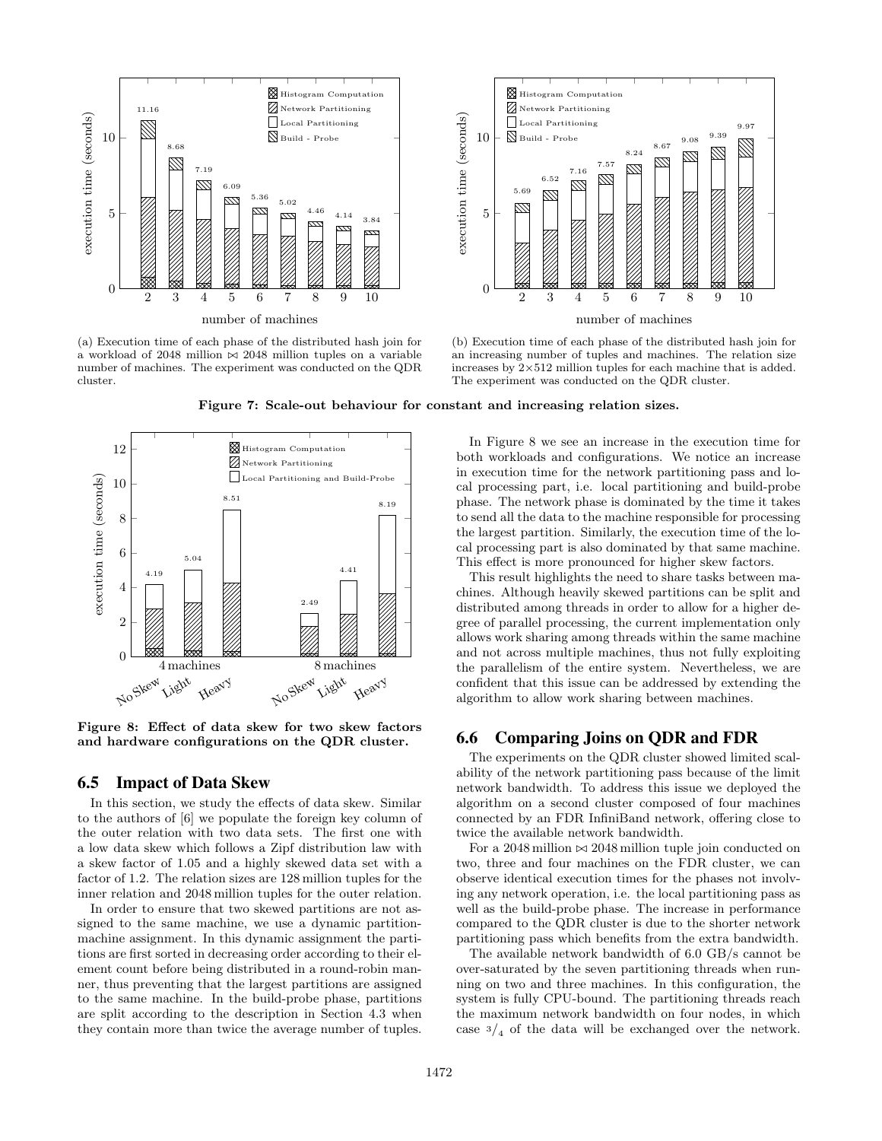

(a) Execution time of each phase of the distributed hash join for a workload of 2048 million  $\approx 2048$  million tuples on a variable number of machines. The experiment was conducted on the QDR cluster.



Figure 8: Effect of data skew for two skew factors and hardware configurations on the QDR cluster.

## 6.5 Impact of Data Skew

In this section, we study the effects of data skew. Similar to the authors of [6] we populate the foreign key column of the outer relation with two data sets. The first one with a low data skew which follows a Zipf distribution law with a skew factor of 1.05 and a highly skewed data set with a factor of 1.2. The relation sizes are 128 million tuples for the inner relation and 2048 million tuples for the outer relation.

In order to ensure that two skewed partitions are not assigned to the same machine, we use a dynamic partitionmachine assignment. In this dynamic assignment the partitions are first sorted in decreasing order according to their element count before being distributed in a round-robin manner, thus preventing that the largest partitions are assigned to the same machine. In the build-probe phase, partitions are split according to the description in Section 4.3 when they contain more than twice the average number of tuples.



(b) Execution time of each phase of the distributed hash join for an increasing number of tuples and machines. The relation size increases by  $2\times512$  million tuples for each machine that is added. The experiment was conducted on the QDR cluster.

Figure 7: Scale-out behaviour for constant and increasing relation sizes.

In Figure 8 we see an increase in the execution time for both workloads and configurations. We notice an increase in execution time for the network partitioning pass and local processing part, i.e. local partitioning and build-probe phase. The network phase is dominated by the time it takes to send all the data to the machine responsible for processing the largest partition. Similarly, the execution time of the local processing part is also dominated by that same machine. This effect is more pronounced for higher skew factors.

This result highlights the need to share tasks between machines. Although heavily skewed partitions can be split and distributed among threads in order to allow for a higher degree of parallel processing, the current implementation only allows work sharing among threads within the same machine and not across multiple machines, thus not fully exploiting the parallelism of the entire system. Nevertheless, we are confident that this issue can be addressed by extending the algorithm to allow work sharing between machines.

# 6.6 Comparing Joins on QDR and FDR

The experiments on the QDR cluster showed limited scalability of the network partitioning pass because of the limit network bandwidth. To address this issue we deployed the algorithm on a second cluster composed of four machines connected by an FDR InfiniBand network, offering close to twice the available network bandwidth.

For a 2048 million  $\approx$  2048 million tuple join conducted on two, three and four machines on the FDR cluster, we can observe identical execution times for the phases not involving any network operation, i.e. the local partitioning pass as well as the build-probe phase. The increase in performance compared to the QDR cluster is due to the shorter network partitioning pass which benefits from the extra bandwidth.

The available network bandwidth of 6.0 GB/s cannot be over-saturated by the seven partitioning threads when running on two and three machines. In this configuration, the system is fully CPU-bound. The partitioning threads reach the maximum network bandwidth on four nodes, in which case  $\frac{3}{4}$  of the data will be exchanged over the network.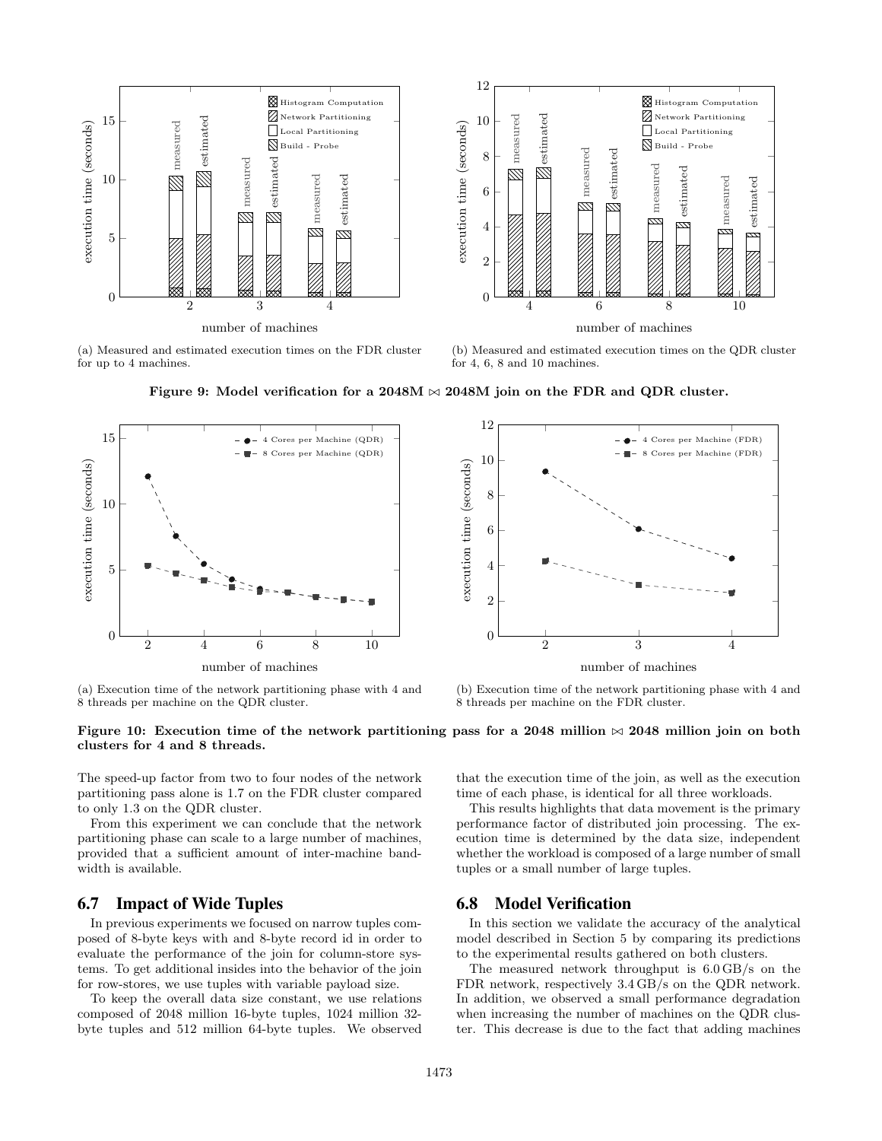

(a) Measured and estimated execution times on the FDR cluster for up to 4 machines

(b) Measured and estimated execution times on the QDR cluster for 4, 6, 8 and 10 machines.



Figure 9: Model verification for a 2048M  $\approx$  2048M join on the FDR and QDR cluster.

(a) Execution time of the network partitioning phase with 4 and 8 threads per machine on the QDR cluster.



(b) Execution time of the network partitioning phase with 4 and 8 threads per machine on the FDR cluster.



The speed-up factor from two to four nodes of the network partitioning pass alone is 1.7 on the FDR cluster compared to only 1.3 on the QDR cluster.

From this experiment we can conclude that the network partitioning phase can scale to a large number of machines, provided that a sufficient amount of inter-machine bandwidth is available.

## 6.7 Impact of Wide Tuples

In previous experiments we focused on narrow tuples composed of 8-byte keys with and 8-byte record id in order to evaluate the performance of the join for column-store systems. To get additional insides into the behavior of the join for row-stores, we use tuples with variable payload size.

To keep the overall data size constant, we use relations composed of 2048 million 16-byte tuples, 1024 million 32 byte tuples and 512 million 64-byte tuples. We observed that the execution time of the join, as well as the execution time of each phase, is identical for all three workloads.

This results highlights that data movement is the primary performance factor of distributed join processing. The execution time is determined by the data size, independent whether the workload is composed of a large number of small tuples or a small number of large tuples.

## 6.8 Model Verification

In this section we validate the accuracy of the analytical model described in Section 5 by comparing its predictions to the experimental results gathered on both clusters.

The measured network throughput is 6.0 GB/s on the FDR network, respectively 3.4 GB/s on the QDR network. In addition, we observed a small performance degradation when increasing the number of machines on the QDR cluster. This decrease is due to the fact that adding machines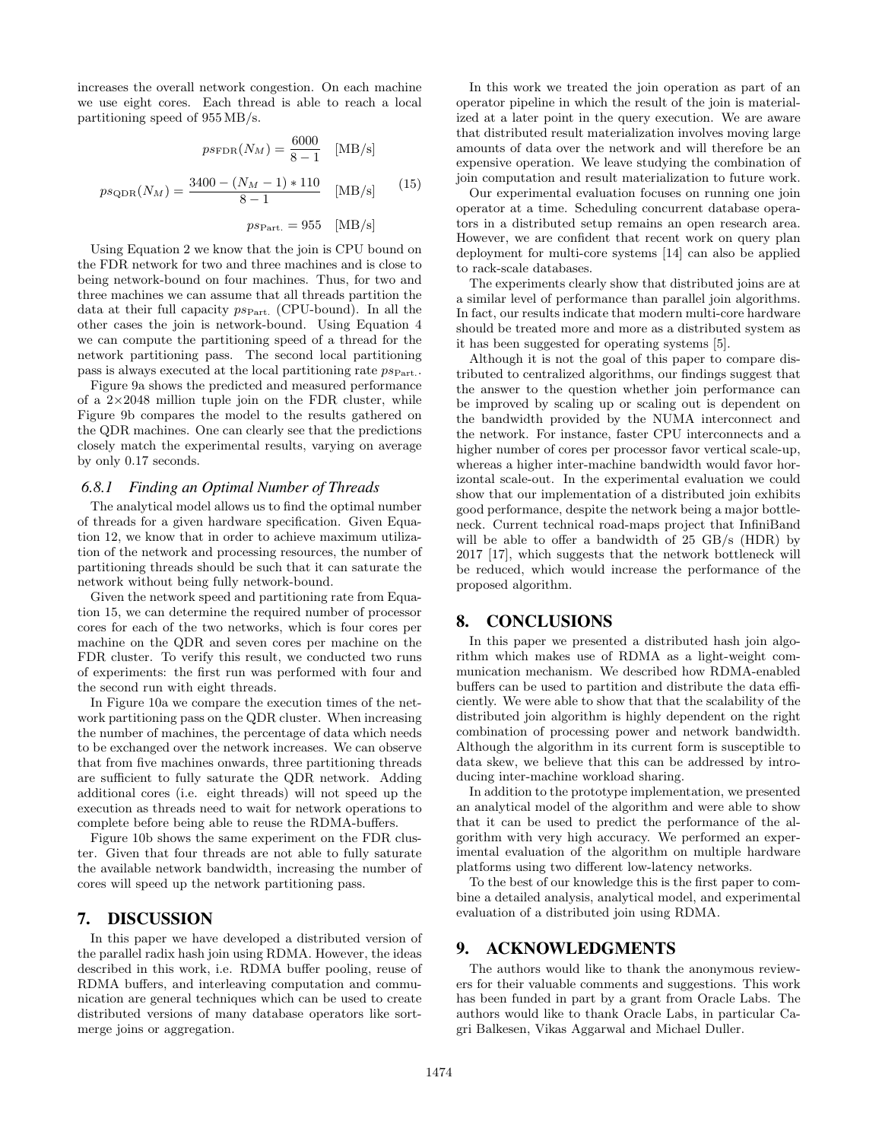increases the overall network congestion. On each machine we use eight cores. Each thread is able to reach a local partitioning speed of 955 MB/s.

$$
p_{\rm SFDR}(N_M) = \frac{6000}{8 - 1} \quad \text{[MB/s]}
$$

$$
p_{\rm SQDR}(N_M) = \frac{3400 - (N_M - 1) * 110}{8 - 1} \quad \text{[MB/s]} \quad (15)
$$

 $ps_{\text{Part.}} = 955$  [MB/s]

Using Equation 2 we know that the join is CPU bound on the FDR network for two and three machines and is close to being network-bound on four machines. Thus, for two and three machines we can assume that all threads partition the data at their full capacity  $ps_{Part.}$  (CPU-bound). In all the other cases the join is network-bound. Using Equation 4 we can compute the partitioning speed of a thread for the network partitioning pass. The second local partitioning pass is always executed at the local partitioning rate  $ps_{Part.}$ .

Figure 9a shows the predicted and measured performance of a  $2\times2048$  million tuple join on the FDR cluster, while Figure 9b compares the model to the results gathered on the QDR machines. One can clearly see that the predictions closely match the experimental results, varying on average by only 0.17 seconds.

#### *6.8.1 Finding an Optimal Number of Threads*

The analytical model allows us to find the optimal number of threads for a given hardware specification. Given Equation 12, we know that in order to achieve maximum utilization of the network and processing resources, the number of partitioning threads should be such that it can saturate the network without being fully network-bound.

Given the network speed and partitioning rate from Equation 15, we can determine the required number of processor cores for each of the two networks, which is four cores per machine on the QDR and seven cores per machine on the FDR cluster. To verify this result, we conducted two runs of experiments: the first run was performed with four and the second run with eight threads.

In Figure 10a we compare the execution times of the network partitioning pass on the QDR cluster. When increasing the number of machines, the percentage of data which needs to be exchanged over the network increases. We can observe that from five machines onwards, three partitioning threads are sufficient to fully saturate the QDR network. Adding additional cores (i.e. eight threads) will not speed up the execution as threads need to wait for network operations to complete before being able to reuse the RDMA-buffers.

Figure 10b shows the same experiment on the FDR cluster. Given that four threads are not able to fully saturate the available network bandwidth, increasing the number of cores will speed up the network partitioning pass.

# 7. DISCUSSION

In this paper we have developed a distributed version of the parallel radix hash join using RDMA. However, the ideas described in this work, i.e. RDMA buffer pooling, reuse of RDMA buffers, and interleaving computation and communication are general techniques which can be used to create distributed versions of many database operators like sortmerge joins or aggregation.

In this work we treated the join operation as part of an operator pipeline in which the result of the join is materialized at a later point in the query execution. We are aware that distributed result materialization involves moving large amounts of data over the network and will therefore be an expensive operation. We leave studying the combination of join computation and result materialization to future work.

Our experimental evaluation focuses on running one join operator at a time. Scheduling concurrent database operators in a distributed setup remains an open research area. However, we are confident that recent work on query plan deployment for multi-core systems [14] can also be applied to rack-scale databases.

The experiments clearly show that distributed joins are at a similar level of performance than parallel join algorithms. In fact, our results indicate that modern multi-core hardware should be treated more and more as a distributed system as it has been suggested for operating systems [5].

Although it is not the goal of this paper to compare distributed to centralized algorithms, our findings suggest that the answer to the question whether join performance can be improved by scaling up or scaling out is dependent on the bandwidth provided by the NUMA interconnect and the network. For instance, faster CPU interconnects and a higher number of cores per processor favor vertical scale-up, whereas a higher inter-machine bandwidth would favor horizontal scale-out. In the experimental evaluation we could show that our implementation of a distributed join exhibits good performance, despite the network being a major bottleneck. Current technical road-maps project that InfiniBand will be able to offer a bandwidth of 25 GB/s (HDR) by 2017 [17], which suggests that the network bottleneck will be reduced, which would increase the performance of the proposed algorithm.

## 8. CONCLUSIONS

In this paper we presented a distributed hash join algorithm which makes use of RDMA as a light-weight communication mechanism. We described how RDMA-enabled buffers can be used to partition and distribute the data efficiently. We were able to show that that the scalability of the distributed join algorithm is highly dependent on the right combination of processing power and network bandwidth. Although the algorithm in its current form is susceptible to data skew, we believe that this can be addressed by introducing inter-machine workload sharing.

In addition to the prototype implementation, we presented an analytical model of the algorithm and were able to show that it can be used to predict the performance of the algorithm with very high accuracy. We performed an experimental evaluation of the algorithm on multiple hardware platforms using two different low-latency networks.

To the best of our knowledge this is the first paper to combine a detailed analysis, analytical model, and experimental evaluation of a distributed join using RDMA.

## 9. ACKNOWLEDGMENTS

The authors would like to thank the anonymous reviewers for their valuable comments and suggestions. This work has been funded in part by a grant from Oracle Labs. The authors would like to thank Oracle Labs, in particular Cagri Balkesen, Vikas Aggarwal and Michael Duller.